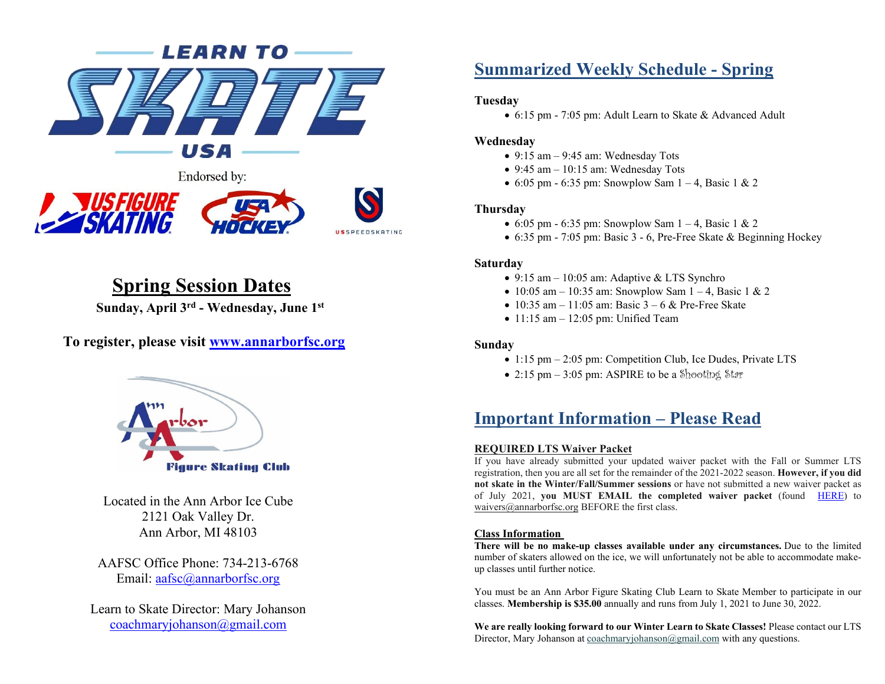



## **Spring Session Dates**

**Sunday, April 3rd - Wednesday, June 1st**

**To register, please visit [www.annarborfsc.org](http://www.annarborfsc.org/)**



Located in the Ann Arbor Ice Cube 2121 Oak Valley Dr. Ann Arbor, MI 48103

AAFSC Office Phone: 734-213-6768 Email: [aafsc@annarborfsc.org](mailto:aafsc@annarborfsc.org)

Learn to Skate Director: Mary Johanson [coachmaryjohanson@gmail.com](mailto:coachmaryjohanson@gmail.com)

## **Summarized Weekly Schedule - Spring**

#### **Tuesday**

• 6:15 pm - 7:05 pm: Adult Learn to Skate & Advanced Adult

#### **Wednesday**

- $\bullet$  9:15 am  $-$  9:45 am: Wednesday Tots
- $\bullet$  9:45 am 10:15 am: Wednesday Tots
- 6:05 pm 6:35 pm: Snowplow Sam  $1 4$ , Basic 1 & 2

#### **Thursday**

- 6:05 pm 6:35 pm: Snowplow Sam  $1 4$ , Basic 1 & 2
- 6:35 pm 7:05 pm: Basic 3 6, Pre-Free Skate & Beginning Hockey

#### **Saturday**

- 9:15 am 10:05 am: Adaptive & LTS Synchro
- 10:05 am 10:35 am: Snowplow Sam  $1 4$ , Basic 1 & 2
- 10:35 am 11:05 am: Basic  $3 6$  & Pre-Free Skate
- $\bullet$  11:15 am  $-$  12:05 pm: Unified Team

#### **Sunday**

- 1:15 pm 2:05 pm: Competition Club, Ice Dudes, Private LTS
- 2:15 pm  $-$  3:05 pm: ASPIRE to be a Shooting Star

## **Important Information – Please Read**

#### **[REQUIRED LTS Waiver Packet](https://files.constantcontact.com/894b1064001/592474f0-e68b-43c1-920e-e567525185ce.pdf)**

If you have already submitted your updated waiver packet with the Fall or Summer LTS registration, then you are all set for the remainder of the 2021-2022 season. **However, if you did not skate in the Winter/Fall/Summer sessions** or have not submitted a new waiver packet as of July 2021, **you MUST EMAIL the completed [waiver packet](https://figureskating.blob.core.windows.net/aafsc-documents/LTSWAIVERPACKET-FillableForm2021-21.pdf)** (found [HERE\)](https://figureskating.blob.core.windows.net/aafsc-documents/LTSWAIVERPACKET-FillableForm2021-21.pdf) to [waivers@annarborfsc.org](mailto:waivers@annarborfsc.org) BEFORE the first class.

#### **Class Information**

**There will be no make-up classes available under any circumstances.** Due to the limited number of skaters allowed on the ice, we will unfortunately not be able to accommodate makeup classes until further notice.

You must be an Ann Arbor Figure Skating Club Learn to Skate Member to participate in our classes. **Membership is \$35.00** annually and runs from July 1, 2021 to June 30, 2022.

**We are really looking forward to our Winter Learn to Skate Classes!** Please contact our LTS Director, Mary Johanson a[t coachmaryjohanson@gmail.com](mailto:coachmaryjohanson@gmail.com) with any questions.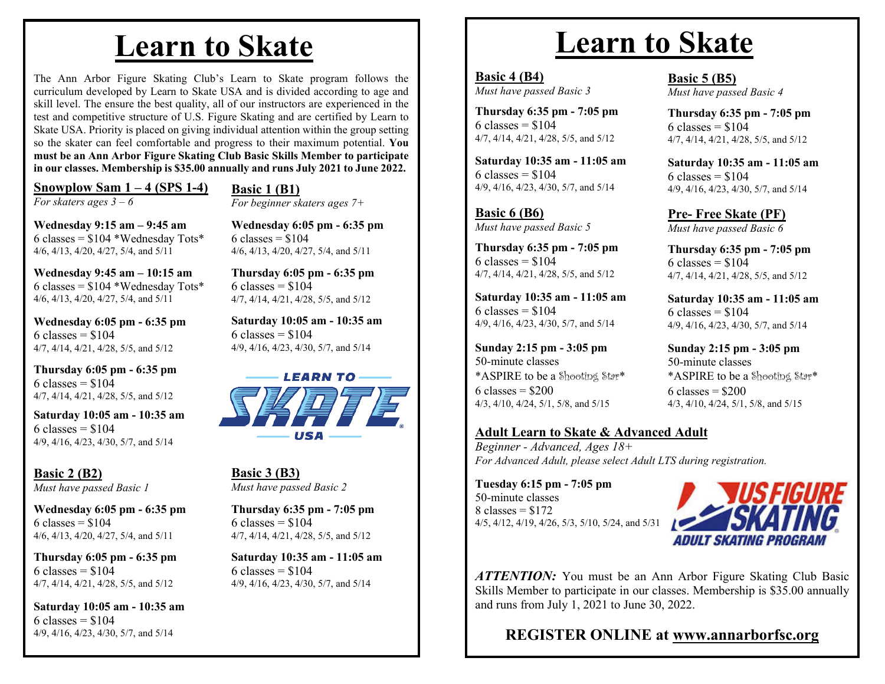## **Learn to Skate**

The Ann Arbor Figure Skating Club's Learn to Skate program follows the curriculum developed by Learn to Skate USA and is divided according to age and skill level. The ensure the best quality, all of our instructors are experienced in the test and competitive structure of U.S. Figure Skating and are certified by Learn to Skate USA. Priority is placed on giving individual attention within the group setting so the skater can feel comfortable and progress to their maximum potential. **You must be an Ann Arbor Figure Skating Club Basic Skills Member to participate in our classes. Membership is \$35.00 annually and runs July 2021 to June 2022.**

**Snowplow Sam 1 – 4 (SPS 1-4)** 

**Wednesday 9:15 am – 9:45 am**

**Wednesday 9:45 am – 10:15 am** 6 classes =  $$104$  \*Wednesday Tots\* 4/6, 4/13, 4/20, 4/27, 5/4, and 5/11

**Wednesday 6:05 pm - 6:35 pm**

4/7, 4/14, 4/21, 4/28, 5/5, and 5/12 **Thursday 6:05 pm - 6:35 pm**

4/7, 4/14, 4/21, 4/28, 5/5, and 5/12 **Saturday 10:05 am - 10:35 am**

4/9, 4/16, 4/23, 4/30, 5/7, and 5/14

**Wednesday 6:05 pm - 6:35 pm**

4/6, 4/13, 4/20, 4/27, 5/4, and 5/11 **Thursday 6:05 pm - 6:35 pm**

4/7, 4/14, 4/21, 4/28, 5/5, and 5/12

4/9, 4/16, 4/23, 4/30, 5/7, and 5/14

**Saturday 10:05 am - 10:35 am**

*Must have passed Basic 1*

4/6, 4/13, 4/20, 4/27, 5/4, and 5/11

*For skaters ages 3 – 6*

 $6 \text{ classes} = $104$ 

 $6$  classes =  $$104$ 

 $6$  classes = \$104

**Basic 2 (B2)** 

 $6 \text{ classes} = $104$ 

 $6 \text{ classes} = $104$ 

 $6 \text{ classes} = $104$ 

#### **Basic 1 (B1)**

*For beginner skaters ages 7+*

6 classes =  $$104$  \*Wednesday Tots\* **Wednesday 6:05 pm - 6:35 pm**  $6 \text{ classes} = $104$ 4/6, 4/13, 4/20, 4/27, 5/4, and 5/11

> **Thursday 6:05 pm - 6:35 pm**  $6 \text{ classes} = $104$ 4/7, 4/14, 4/21, 4/28, 5/5, and 5/12

**Saturday 10:05 am - 10:35 am**  $6 \text{ classes} = $104$ 4/9, 4/16, 4/23, 4/30, 5/7, and 5/14



**Basic 3 (B3)** *Must have passed Basic 2*

**Thursday 6:35 pm - 7:05 pm**  $6$  classes =  $$104$ 4/7, 4/14, 4/21, 4/28, 5/5, and 5/12

**Saturday 10:35 am - 11:05 am**  $6 \text{ classes} = $104$ 4/9, 4/16, 4/23, 4/30, 5/7, and 5/14

# **Learn to Skate**

**Basic 4 (B4)** *Must have passed Basic 3*

**Thursday 6:35 pm - 7:05 pm** 6 classes =  $$104$ 4/7, 4/14, 4/21, 4/28, 5/5, and 5/12

**Saturday 10:35 am - 11:05 am** 6 classes =  $$104$ 4/9, 4/16, 4/23, 4/30, 5/7, and 5/14

**Basic 6 (B6)** *Must have passed Basic 5*

**Thursday 6:35 pm - 7:05 pm** 6 classes =  $$104$ 4/7, 4/14, 4/21, 4/28, 5/5, and 5/12

**Saturday 10:35 am - 11:05 am** 6 classes =  $$104$ 4/9, 4/16, 4/23, 4/30, 5/7, and 5/14

**Sunday 2:15 pm - 3:05 pm** 50-minute classes \*ASPIRE to be a Shooting Star\*  $6 \text{ classes} = $200$ 4/3, 4/10, 4/24, 5/1, 5/8, and 5/15

#### **[Adult Learn to Skate & Advanced Adult](https://www.annarborfsc.org/Programs/LTS/LTSHome.aspx)**

*Beginner - Advanced, Ages 18+ For Advanced Adult, please select Adult LTS during registration.*

**Tuesday 6:15 pm - 7:05 pm** 50-minute classes  $8 \text{ classes} = $172$ 4/5, 4/12, 4/19, 4/26, 5/3, 5/10, 5/24, and 5/31



*ATTENTION:* You must be an Ann Arbor Figure Skating Club Basic Skills Member to participate in our classes. Membership is \$35.00 annually and runs from July 1, 2021 to June 30, 2022.

**REGISTER ONLINE at www.annarborfsc.org**

4/7, 4/14, 4/21, 4/28, 5/5, and 5/12 **Saturday 10:35 am - 11:05 am**  $6$  classes =  $$104$ 

> 4/9, 4/16, 4/23, 4/30, 5/7, and 5/14 **Pre- Free Skate (PF)**

*Must have passed Basic 6*

**Basic 5 (B5)**

 $6 \text{ classes} = $104$ 

*Must have passed Basic 4*

**Thursday 6:35 pm - 7:05 pm**

**Thursday 6:35 pm - 7:05 pm**  $6 \text{ classes} = $104$ 4/7, 4/14, 4/21, 4/28, 5/5, and 5/12

**Saturday 10:35 am - 11:05 am**  $6 \text{ classes} = $104$ 4/9, 4/16, 4/23, 4/30, 5/7, and 5/14

**Sunday 2:15 pm - 3:05 pm** 50-minute classes \*ASPIRE to be a Shooting Star\*  $6$  classes = \$200 4/3, 4/10, 4/24, 5/1, 5/8, and 5/15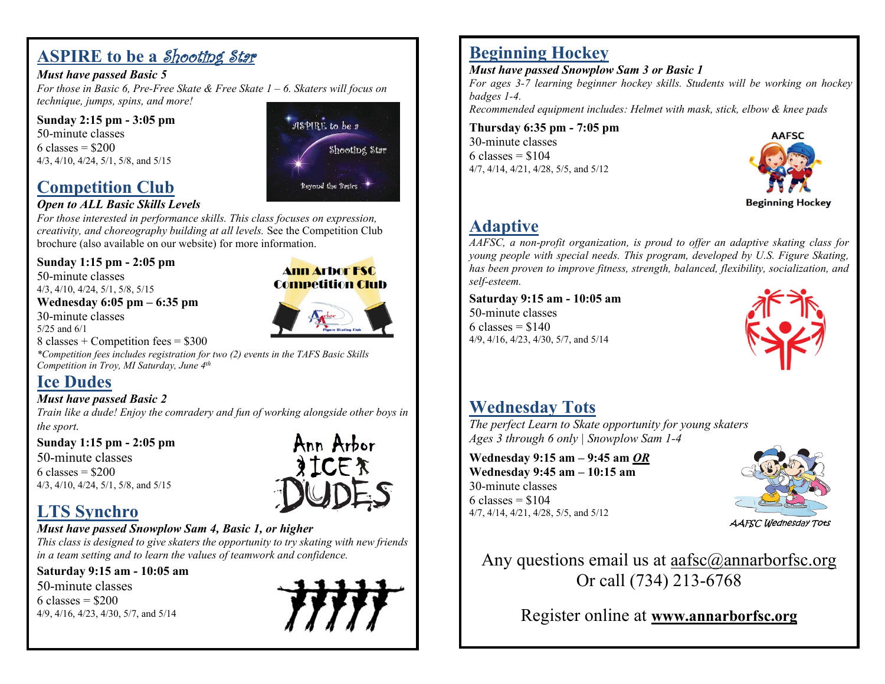## **ASPIRE to be a Shooting Star**

#### *Must have passed Basic 5*

*For those in Basic 6, Pre-Free Skate & Free Skate 1 – 6. Skaters will focus on technique, jumps, spins, and more!*

**Sunday 2:15 pm - 3:05 pm** 50-minute classes 6 classes =  $$200$ 4/3, 4/10, 4/24, 5/1, 5/8, and 5/15

## **[Competition Club](https://www.annarborfsc.org/Programs/LTS/LTSHome.aspx)**

#### *Open to ALL Basic Skills Levels*

*For those interested in performance skills. This class focuses on expression, creativity, and choreography building at all levels.* See the Competition Club brochure (also available on our website) for more information.

#### **Sunday 1:15 pm - 2:05 pm**

50-minute classes 4/3, 4/10, 4/24, 5/1, 5/8, 5/15

**Wednesday 6:05 pm – 6:35 pm** 30-minute classes 5/25 and 6/1

**Competition Club** 

**Ann Arbor FSC** 

ASPIRE to be 2

Beyond the Basics

Shooting Star

8 classes  $+$  Competition fees  $=$  \$300

*\*Competition fees includes registration for two (2) events in the TAFS Basic Skills Competition in Troy, MI Saturday, June 4th*

## **[Ice Dudes](https://www.annarborfsc.org/Programs/LTS/LTSHome.aspx)**

#### *Must have passed Basic 2*

*Train like a dude! Enjoy the comradery and fun of working alongside other boys in the sport.*

**Sunday 1:15 pm - 2:05 pm**

50-minute classes  $6 \text{ classes} = $200$ 4/3, 4/10, 4/24, 5/1, 5/8, and 5/15

# Ann Arbor **SICER**

## **[LTS Synchro](https://www.annarborfsc.org/Programs/LTS/LTSHome.aspx)**

#### *Must have passed Snowplow Sam 4, Basic 1, or higher*

*This class is designed to give skaters the opportunity to try skating with new friends in a team setting and to learn the values of teamwork and confidence.*

#### **Saturday 9:15 am - 10:05 am**

50-minute classes  $6$  classes = \$200 4/9, 4/16, 4/23, 4/30, 5/7, and 5/14



## **[Beginning Hockey](https://www.annarborfsc.org/Programs/LTS/LTSHome.aspx)**

*Must have passed Snowplow Sam 3 or Basic 1*

*For ages 3-7 learning beginner hockey skills. Students will be working on hockey badges 1-4.*

*Recommended equipment includes: Helmet with mask, stick, elbow & knee pads*

**Thursday 6:35 pm - 7:05 pm** 30-minute classes  $6 \text{ classes} = $104$ 4/7, 4/14, 4/21, 4/28, 5/5, and 5/12



## **[Adaptive](https://www.annarborfsc.org/Programs/LTS/LTSHome.aspx)**

*AAFSC, a non-profit organization, is proud to offer an adaptive skating class for young people with special needs. This program, developed by U.S. Figure Skating, has been proven to improve fitness, strength, balanced, flexibility, socialization, and self-esteem.*

#### **Saturday 9:15 am - 10:05 am** 50-minute classes

 $6$  classes = \$140 4/9, 4/16, 4/23, 4/30, 5/7, and 5/14



## **[Wednesday](https://www.annarborfsc.org/Programs/LTS/LTSHome.aspx) Tots**

*The perfect Learn to Skate opportunity for young skaters Ages 3 through 6 only | Snowplow Sam 1-4*

**Wednesday 9:15 am – 9:45 am** *OR* **Wednesday 9:45 am – 10:15 am** 30-minute classes  $6 \text{ classes} = $104$ 4/7, 4/14, 4/21, 4/28, 5/5, and 5/12



**AAFSC Wednesday Tots** 

Any questions email us at aafsc $(\omega)$ annarborfsc.org Or call (734) 213-6768

Register online at **www.annarborfsc.org**